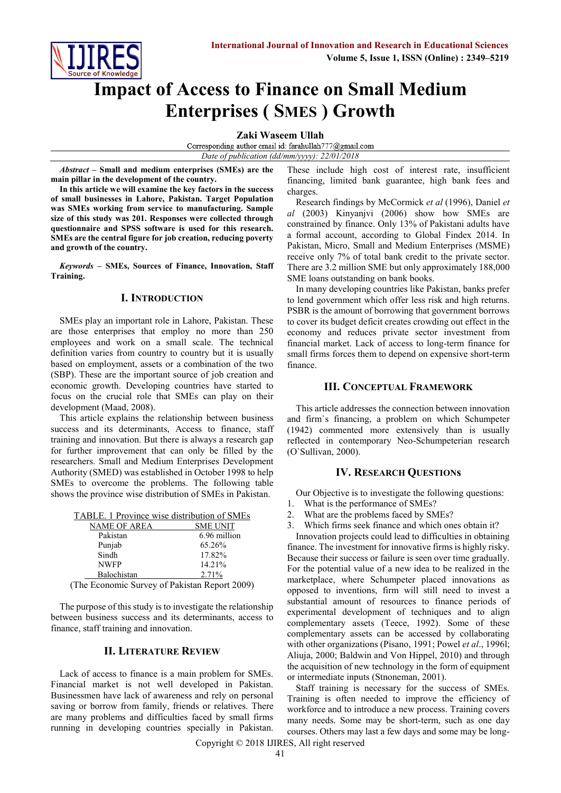# **Impact of Access to Finance on Small Medium Enterprises ( SMES ) Growth**

**Zaki Waseem Ullah**

Corresponding author email id: farahullah777@gmail.com *Date of publication (dd/mm/yyyy): 22/01/2018*

*Abstract* **– Small and medium enterprises (SMEs) are the main pillar in the development of the country.**

**In this article we will examine the key factors in the success of small businesses in Lahore, Pakistan. Target Population was SMEs working from service to manufacturing. Sample size of this study was 201. Responses were collected through questionnaire and SPSS software is used for this research. SMEs are the central figure for job creation, reducing poverty and growth of the country.**

*Keywords* **– SMEs, Sources of Finance, Innovation, Staff Training.**

## **I. INTRODUCTION**

SMEs play an important role in Lahore, Pakistan. These are those enterprises that employ no more than 250 employees and work on a small scale. The technical definition varies from country to country but it is usually based on employment, assets or a combination of the two (SBP). These are the important source of job creation and economic growth. Developing countries have started to focus on the crucial role that SMEs can play on their development (Maad, 2008).

This article explains the relationship between business success and its determinants, Access to finance, staff training and innovation. But there is always a research gap for further improvement that can only be filled by the researchers. Small and Medium Enterprises Development Authority (SMED) was established in October 1998 to help SMEs to overcome the problems. The following table shows the province wise distribution of SMEs in Pakistan.

|  |  | TABLE. 1 Province wise distribution of SMEs |  |
|--|--|---------------------------------------------|--|
|  |  |                                             |  |

| NAME OF AREA                                  | <b>SME UNIT</b> |  |  |
|-----------------------------------------------|-----------------|--|--|
| Pakistan                                      | 6.96 million    |  |  |
| Punjab                                        | 65.26%          |  |  |
| Sindh                                         | 17.82%          |  |  |
| <b>NWFP</b>                                   | 14.21%          |  |  |
| Balochistan                                   | 2.71%           |  |  |
| (The Economic Survey of Pakistan Report 2009) |                 |  |  |

The purpose of this study is to investigate the relationship between business success and its determinants, access to finance, staff training and innovation.

## **II. LITERATURE REVIEW**

Lack of access to finance is a main problem for SMEs. Financial market is not well developed in Pakistan. Businessmen have lack of awareness and rely on personal saving or borrow from family, friends or relatives. There are many problems and difficulties faced by small firms running in developing countries specially in Pakistan.

These include high cost of interest rate, insufficient financing, limited bank guarantee, high bank fees and charges.

Research findings by McCormick *et al* (1996), Daniel *et al* (2003) Kinyanjvi (2006) show how SMEs are constrained by finance. Only 13% of Pakistani adults have a formal account, according to Global Findex 2014. In Pakistan, Micro, Small and Medium Enterprises (MSME) receive only 7% of total bank credit to the private sector. There are 3.2 million SME but only approximately 188,000 SME loans outstanding on bank books.

In many developing countries like Pakistan, banks prefer to lend government which offer less risk and high returns. PSBR is the amount of borrowing that government borrows to cover its budget deficit creates crowding out effect in the economy and reduces private sector investment from financial market. Lack of access to long-term finance for small firms forces them to depend on expensive short-term finance.

## **III. CONCEPTUAL FRAMEWORK**

This article addresses the connection between innovation and firm`s financing, a problem on which Schumpeter (1942) commented more extensively than is usually reflected in contemporary Neo-Schumpeterian research (O`Sullivan, 2000).

## **IV. RESEARCH QUESTIONs**

Our Objective is to investigate the following questions:

- 1. What is the performance of SMEs?
- 2. What are the problems faced by SMEs?
- 3. Which firms seek finance and which ones obtain it?

Innovation projects could lead to difficulties in obtaining finance. The investment for innovative firms is highly risky. Because their success or failure is seen over time gradually. For the potential value of a new idea to be realized in the marketplace, where Schumpeter placed innovations as opposed to inventions, firm will still need to invest a substantial amount of resources to finance periods of experimental development of techniques and to align complementary assets (Teece, 1992). Some of these complementary assets can be accessed by collaborating with other organizations (Pisano, 1991; Powel *et al*., 1996l; Aliuja, 2000; Baldwin and Von Hippel, 2010) and through the acquisition of new technology in the form of equipment or intermediate inputs (Stnoneman, 2001).

Staff training is necessary for the success of SMEs. Training is often needed to improve the efficiency of workforce and to introduce a new process. Training covers many needs. Some may be short-term, such as one day courses. Others may last a few days and some may be long-

Copyright © 2018 IJIRES, All right reserved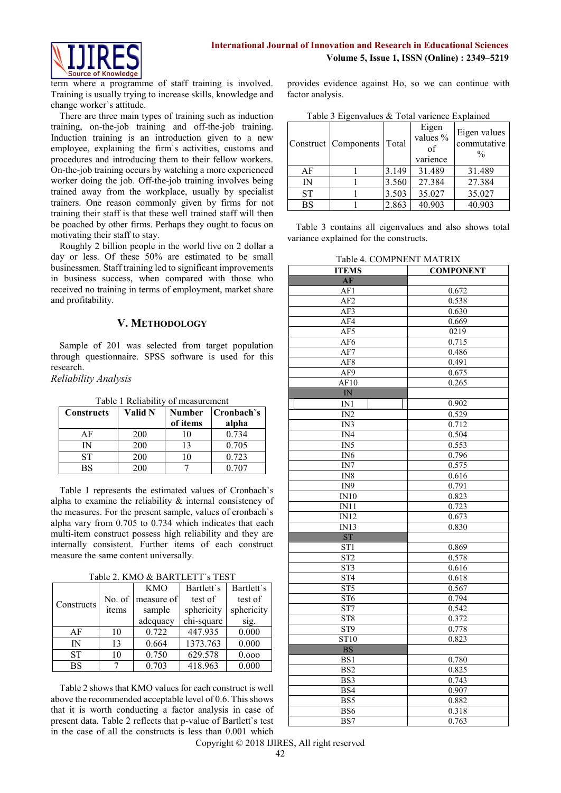

term where a programme of staff training is involved. Training is usually trying to increase skills, knowledge and change worker`s attitude.

There are three main types of training such as induction training, on-the-job training and off-the-job training. Induction training is an introduction given to a new employee, explaining the firm`s activities, customs and procedures and introducing them to their fellow workers. On-the-job training occurs by watching a more experienced worker doing the job. Off-the-job training involves being trained away from the workplace, usually by specialist trainers. One reason commonly given by firms for not training their staff is that these well trained staff will then be poached by other firms. Perhaps they ought to focus on motivating their staff to stay.

Roughly 2 billion people in the world live on 2 dollar a day or less. Of these 50% are estimated to be small businessmen. Staff training led to significant improvements in business success, when compared with those who received no training in terms of employment, market share and profitability.

# **V. METHODOLOGY**

Sample of 201 was selected from target population through questionnaire. SPSS software is used for this research.

*Reliability Analysis*

| <b>Constructs</b> | Valid N | <b>Number</b><br>of items | Cronbach's<br>alpha |
|-------------------|---------|---------------------------|---------------------|
| АF                | 200     |                           | 0.734               |
| IN                | 200     |                           | 0.705               |
| ST                | 200     |                           | 0.723               |
| BS                | 200     |                           | 0.707               |

Table 1 Reliability of measurement

Table 1 represents the estimated values of Cronbach`s alpha to examine the reliability & internal consistency of the measures. For the present sample, values of cronbach`s alpha vary from 0.705 to 0.734 which indicates that each multi-item construct possess high reliability and they are internally consistent. Further items of each construct measure the same content universally.

|  | Table 2. KMO & BARTLETT's TEST |
|--|--------------------------------|
|  |                                |

| 14010 E. 11110 W. 11111 E. 101 E. |        |            |            |            |
|-----------------------------------|--------|------------|------------|------------|
|                                   |        | <b>KMO</b> | Bartlett's | Bartlett's |
| Constructs                        | No. of | measure of | test of    | test of    |
|                                   | items  | sample     | sphericity | sphericity |
|                                   |        | adequacy   | chi-square | sig.       |
| AF                                | 10     | 0.722      | 447.935    | 0.000      |
| $\mathbb{N}$                      | 13     | 0.664      | 1373.763   | 0.000      |
| <b>ST</b>                         | 10     | 0.750      | 629.578    | 0.000      |
| <b>BS</b>                         |        | 0.703      | 418.963    | 0.000      |

Table 2 shows that KMO values for each construct is well above the recommended acceptable level of 0.6. This shows that it is worth conducting a factor analysis in case of present data. Table 2 reflects that p-value of Bartlett`s test in the case of all the constructs is less than 0.001 which

provides evidence against Ho, so we can continue with factor analysis.

|           | Construct   Components | Total | Eigen<br>values %<br>of<br>varience | Eigen values<br>commutative<br>$\frac{0}{0}$ |
|-----------|------------------------|-------|-------------------------------------|----------------------------------------------|
| AF        |                        | 3.149 | 31.489                              | 31.489                                       |
| IN        |                        | 3.560 | 27.384                              | 27.384                                       |
| <b>ST</b> |                        | 3.503 | 35.027                              | 35.027                                       |
| <b>BS</b> |                        | 2.863 | 40.903                              | 40.903                                       |

Table 3 contains all eigenvalues and also shows total variance explained for the constructs.

Table 4. COMPNENT MATRIX

| 1 uviv<br>- <del>- - - - - - -</del><br>,,,,<br><b>ITEMS</b> | .,,,,,,,,,,<br><b>COMPONENT</b> |  |
|--------------------------------------------------------------|---------------------------------|--|
| AF                                                           |                                 |  |
| AF1                                                          | 0.672                           |  |
|                                                              |                                 |  |
| AF2                                                          | 0.538                           |  |
| AF3                                                          | 0.630                           |  |
| AF4                                                          | 0.669                           |  |
| AF5                                                          | 0219                            |  |
| AF <sub>6</sub>                                              | 0.715                           |  |
| $\overline{AF7}$                                             | 0.486                           |  |
| AF <sub>8</sub>                                              | 0.491                           |  |
| AF9                                                          | 0.675                           |  |
| AF10                                                         | 0.265                           |  |
| $\overline{\text{IN}}$                                       |                                 |  |
| IN1                                                          | 0.902                           |  |
| IN2                                                          | 0.529                           |  |
| IN3                                                          | 0.712                           |  |
| IN4                                                          | 0.504                           |  |
| IN5                                                          | 0.553                           |  |
| $\overline{IN6}$                                             | 0.796                           |  |
| $\overline{\text{IN7}}$                                      | 0.575                           |  |
| IN <sub>8</sub>                                              | 0.616                           |  |
| IN9                                                          | 0.791                           |  |
| IN10                                                         | 0.823                           |  |
| IN11                                                         | 0.723                           |  |
| $\overline{IN12}$                                            | 0.673                           |  |
| IN13                                                         | 0.830                           |  |
| $\overline{\text{ST}}$                                       |                                 |  |
| ST <sub>1</sub>                                              | 0.869                           |  |
| ST2                                                          | 0.578                           |  |
| ST3                                                          | 0.616                           |  |
| ST <sub>4</sub>                                              | 0.618                           |  |
| ST <sub>5</sub>                                              | 0.567                           |  |
| ST6                                                          | 0.794                           |  |
| ST7                                                          | 0.542                           |  |
| ST <sub>8</sub>                                              | 0.372                           |  |
| ST9                                                          | 0.778                           |  |
| ST10                                                         | 0.823                           |  |
| <b>BS</b>                                                    |                                 |  |
| BS1                                                          | 0.780                           |  |
| $\overline{BS2}$                                             | 0.825                           |  |
| BS3                                                          | 0.743                           |  |
| BS4                                                          | 0.907                           |  |
| BS5                                                          | 0.882                           |  |
| BS6                                                          | 0.318                           |  |
| BS7                                                          | 0.763                           |  |
|                                                              |                                 |  |

Copyright © 2018 IJIRES, All right reserved